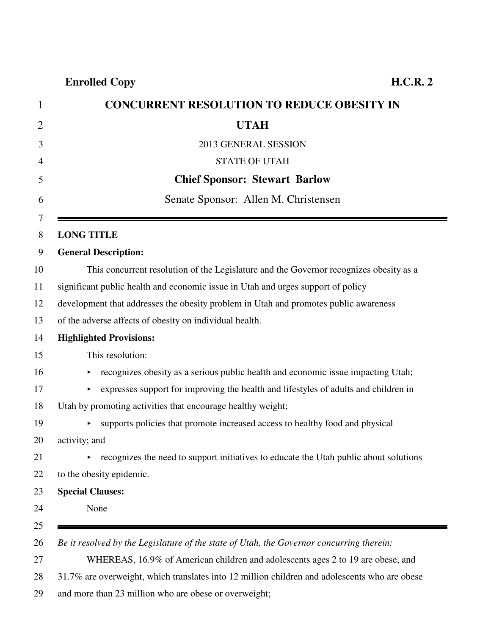**Enrolled Copy H.C.R. 2**

| <b>CONCURRENT RESOLUTION TO REDUCE OBESITY IN</b>                                        |
|------------------------------------------------------------------------------------------|
| <b>UTAH</b>                                                                              |
| 2013 GENERAL SESSION                                                                     |
| <b>STATE OF UTAH</b>                                                                     |
| <b>Chief Sponsor: Stewart Barlow</b>                                                     |
| Senate Sponsor: Allen M. Christensen                                                     |
| <b>LONG TITLE</b>                                                                        |
| <b>General Description:</b>                                                              |
| This concurrent resolution of the Legislature and the Governor recognizes obesity as a   |
| significant public health and economic issue in Utah and urges support of policy         |
| development that addresses the obesity problem in Utah and promotes public awareness     |
| of the adverse affects of obesity on individual health.                                  |
| <b>Highlighted Provisions:</b>                                                           |
| This resolution:                                                                         |
| recognizes obesity as a serious public health and economic issue impacting Utah;         |
| expresses support for improving the health and lifestyles of adults and children in<br>▶ |
| Utah by promoting activities that encourage healthy weight;                              |
| supports policies that promote increased access to healthy food and physical<br>×        |
| activity; and                                                                            |
| recognizes the need to support initiatives to educate the Utah public about solutions    |
| to the obesity epidemic.                                                                 |
| <b>Special Clauses:</b>                                                                  |
| None                                                                                     |

29 and more than 23 million who are obese or overweight;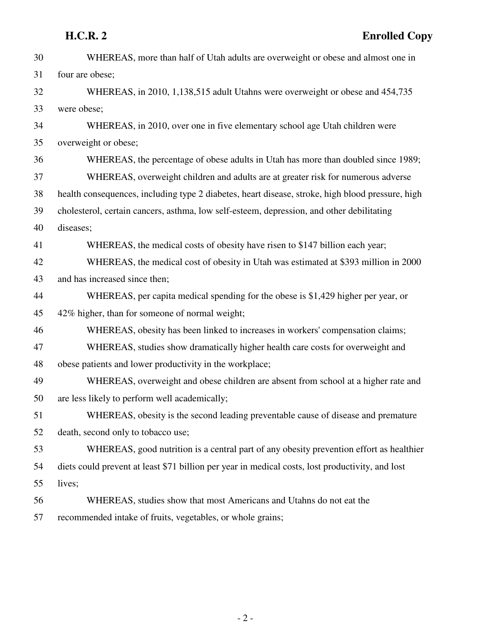| 30 | WHEREAS, more than half of Utah adults are overweight or obese and almost one in                 |
|----|--------------------------------------------------------------------------------------------------|
| 31 | four are obese;                                                                                  |
| 32 | WHEREAS, in 2010, 1,138,515 adult Utahns were overweight or obese and 454,735                    |
| 33 | were obese;                                                                                      |
| 34 | WHEREAS, in 2010, over one in five elementary school age Utah children were                      |
| 35 | overweight or obese;                                                                             |
| 36 | WHEREAS, the percentage of obese adults in Utah has more than doubled since 1989;                |
| 37 | WHEREAS, overweight children and adults are at greater risk for numerous adverse                 |
| 38 | health consequences, including type 2 diabetes, heart disease, stroke, high blood pressure, high |
| 39 | cholesterol, certain cancers, asthma, low self-esteem, depression, and other debilitating        |
| 40 | diseases;                                                                                        |
| 41 | WHEREAS, the medical costs of obesity have risen to \$147 billion each year;                     |
| 42 | WHEREAS, the medical cost of obesity in Utah was estimated at \$393 million in 2000              |
| 43 | and has increased since then;                                                                    |
| 44 | WHEREAS, per capita medical spending for the obese is \$1,429 higher per year, or                |
| 45 | 42% higher, than for someone of normal weight;                                                   |
| 46 | WHEREAS, obesity has been linked to increases in workers' compensation claims;                   |
| 47 | WHEREAS, studies show dramatically higher health care costs for overweight and                   |
| 48 | obese patients and lower productivity in the workplace;                                          |
| 49 | WHEREAS, overweight and obese children are absent from school at a higher rate and               |
| 50 | are less likely to perform well academically;                                                    |
| 51 | WHEREAS, obesity is the second leading preventable cause of disease and premature                |
| 52 | death, second only to tobacco use;                                                               |
| 53 | WHEREAS, good nutrition is a central part of any obesity prevention effort as healthier          |
| 54 | diets could prevent at least \$71 billion per year in medical costs, lost productivity, and lost |
| 55 | lives;                                                                                           |
| 56 | WHEREAS, studies show that most Americans and Utahns do not eat the                              |
| 57 | recommended intake of fruits, vegetables, or whole grains;                                       |